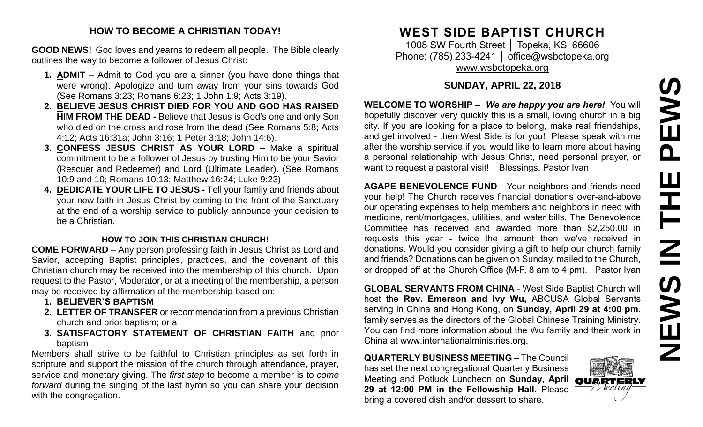#### **HOW TO BECOME A CHRISTIAN TODAY!**

**GOOD NEWS!** God loves and yearns to redeem all people. The Bible clearly outlines the way to become a follower of Jesus Christ:

- **1. ADMIT** Admit to God you are a sinner (you have done things that were wrong). Apologize and turn away from your sins towards God (See Romans 3:23; Romans 6:23; 1 John 1:9; Acts 3:19).
- **2. BELIEVE JESUS CHRIST DIED FOR YOU AND GOD HAS RAISED HIM FROM THE DEAD -** Believe that Jesus is God's one and only Son who died on the cross and rose from the dead (See Romans 5:8; Acts 4:12; Acts 16:31a; John 3:16; 1 Peter 3:18; John 14:6).
- **3. CONFESS JESUS CHRIST AS YOUR LORD –** Make a spiritual commitment to be a follower of Jesus by trusting Him to be your Savior (Rescuer and Redeemer) and Lord (Ultimate Leader). (See Romans 10:9 and 10; Romans 10:13; Matthew 16:24; Luke 9:23)
- **4. DEDICATE YOUR LIFE TO JESUS -** Tell your family and friends about your new faith in Jesus Christ by coming to the front of the Sanctuary at the end of a worship service to publicly announce your decision to be a Christian.

#### **HOW TO JOIN THIS CHRISTIAN CHURCH!**

**COME FORWARD** – Any person professing faith in Jesus Christ as Lord and Savior, accepting Baptist principles, practices, and the covenant of this Christian church may be received into the membership of this church. Upon request to the Pastor, Moderator, or at a meeting of the membership, a person may be received by affirmation of the membership based on:

- **1. BELIEVER'S BAPTISM**
- **2. LETTER OF TRANSFER** or recommendation from a previous Christian church and prior baptism; or a
- **3. SATISFACTORY STATEMENT OF CHRISTIAN FAITH** and prior baptism

Members shall strive to be faithful to Christian principles as set forth in scripture and support the mission of the church through attendance, prayer, service and monetary giving. The *first step* to become a member is to *come forward* during the singing of the last hymn so you can share your decision with the congregation.

# **WEST SIDE BAPTIST CHURCH**

1008 SW Fourth Street | Topeka, KS 66606 Phone: (785) 233-4241 | [office@wsbctopeka.org](mailto:office@wsbctopeka.org) [www.wsbctopeka.org](http://www.wsbctopeka.org/)

# **SUNDAY, APRIL 22, 2018**

**WELCOME TO WORSHIP –** *We are happy you are here!* You will hopefully discover very quickly this is a small, loving church in a big city. If you are looking for a place to belong, make real friendships, and get involved - then West Side is for you! Please speak with me after the worship service if you would like to learn more about having a personal relationship with Jesus Christ, need personal prayer, or want to request a pastoral visit! Blessings, Pastor Ivan

**AGAPE BENEVOLENCE FUND** - Your neighbors and friends need your help! The Church receives financial donations over-and-above our operating expenses to help members and neighbors in need with medicine, rent/mortgages, utilities, and water bills. The Benevolence Committee has received and awarded more than \$2,250.00 in requests this year - twice the amount then we've received in donations. Would you consider giving a gift to help our church family and friends? Donations can be given on Sunday, mailed to the Church, or dropped off at the Church Office (M-F, 8 am to 4 pm). Pastor Ivan

**GLOBAL SERVANTS FROM CHINA** - West Side Baptist Church will host the **Rev. Emerson and Ivy Wu,** ABCUSA Global Servants serving in China and Hong Kong, on **Sunday, April 29 at 4:00 pm**. family serves as the directors of the Global Chinese Training Ministry. You can find more information about the Wu family and their work in China at www.internationalministries.org.

**QUARTERLY BUSINESS MEETING –** The Council has set the next congregational Quarterly Business Meeting and Potluck Luncheon on **Sunday, April OUD RTERLY 29 at 12:00 PM in the Fellowship Hall.** Please bring a covered dish and/or dessert to share.

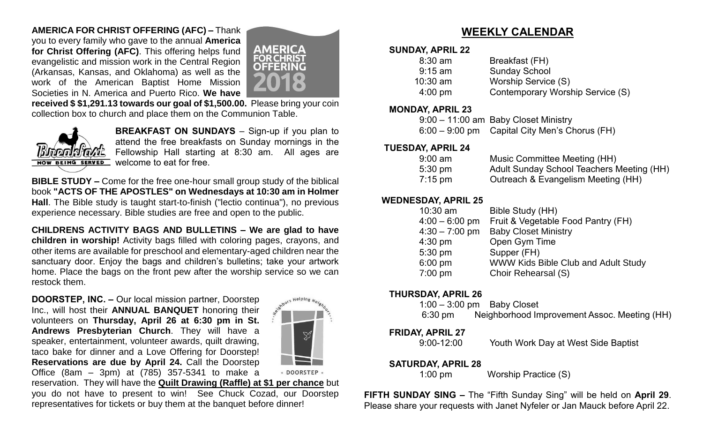# **AMERICA FOR CHRIST OFFERING (AFC) –** Thank

you to every family who gave to the annual **America for Christ Offering (AFC)**. This offering helps fund evangelistic and mission work in the Central Region (Arkansas, Kansas, and Oklahoma) as well as the work of the American Baptist Home Mission Societies in N. America and Puerto Rico. **We have** 



**received \$ \$1,291.13 towards our goal of \$1,500.00.** Please bring your coin collection box to church and place them on the Communion Table.



**BREAKFAST ON SUNDAYS** – Sign-up if you plan to attend the free breakfasts on Sunday mornings in the Fellowship Hall starting at 8:30 am. All ages are welcome to eat for free.

**BIBLE STUDY –** Come for the free one-hour small group study of the biblical book **"ACTS OF THE APOSTLES" on Wednesdays at 10:30 am in Holmer Hall**. The Bible study is taught start-to-finish ("lectio continua"), no previous experience necessary. Bible studies are free and open to the public.

**CHILDRENS ACTIVITY BAGS AND BULLETINS – We are glad to have children in worship!** Activity bags filled with coloring pages, crayons, and other items are available for preschool and elementary-aged children near the sanctuary door. Enjoy the bags and children's bulletins; take your artwork home. Place the bags on the front pew after the worship service so we can restock them.

**DOORSTEP, INC. –** Our local mission partner, Doorstep Inc., will host their **ANNUAL BANQUET** honoring their volunteers on **Thursday, April 26 at 6:30 pm in St. Andrews Presbyterian Church**. They will have a speaker, entertainment, volunteer awards, quilt drawing, taco bake for dinner and a Love Offering for Doorstep! **Reservations are due by April 24.** Call the Doorstep Office (8am – 3pm) at (785) 357-5341 to make a



reservation. They will have the **Quilt Drawing (Raffle) at \$1 per chance** but you do not have to present to win! See Chuck Cozad, our Doorstep representatives for tickets or buy them at the banquet before dinner!

# **WEEKLY CALENDAR**

#### **SUNDAY, APRIL 22**

| $8:30$ am         | Breakfast (FH)                   |
|-------------------|----------------------------------|
| $9:15$ am         | <b>Sunday School</b>             |
| $10:30$ am        | Worship Service (S)              |
| $4:00 \text{ pm}$ | Contemporary Worship Service (S) |
|                   |                                  |

#### **MONDAY, APRIL 23**

| 9:00 - 11:00 am Baby Closet Ministry          |
|-----------------------------------------------|
| 6:00 – 9:00 pm Capital City Men's Chorus (FH) |

# **TUESDAY, APRIL 24**

| $9:00 \text{ am}$    | Music Committee Meeting (HH)              |
|----------------------|-------------------------------------------|
| $5:30 \text{ pm}$    | Adult Sunday School Teachers Meeting (HH) |
| $7:15 \,\mathrm{pm}$ | Outreach & Evangelism Meeting (HH)        |

# **WEDNESDAY, APRIL 25**

| $10:30$ am       | Bible Study (HH)                    |
|------------------|-------------------------------------|
| $4:00 - 6:00$ pm | Fruit & Vegetable Food Pantry (FH)  |
| $4:30 - 7:00$ pm | <b>Baby Closet Ministry</b>         |
| $4:30$ pm        | Open Gym Time                       |
| 5:30 pm          | Supper (FH)                         |
| 6:00 pm          | WWW Kids Bible Club and Adult Study |
| 7:00 pm          | Choir Rehearsal (S)                 |
|                  |                                     |

### **THURSDAY, APRIL 26**

|                   | $1:00-3:00$ pm Baby Closet                   |  |
|-------------------|----------------------------------------------|--|
| $6:30 \text{ pm}$ | Neighborhood Improvement Assoc. Meeting (HH) |  |

# **FRIDAY, APRIL 27**

9:00-12:00 Youth Work Day at West Side Baptist

# **SATURDAY, APRIL 28**

1:00 pmWorship Practice (S)

**FIFTH SUNDAY SING –** The "Fifth Sunday Sing" will be held on **April 29**. Please share your requests with Janet Nyfeler or Jan Mauck before April 22.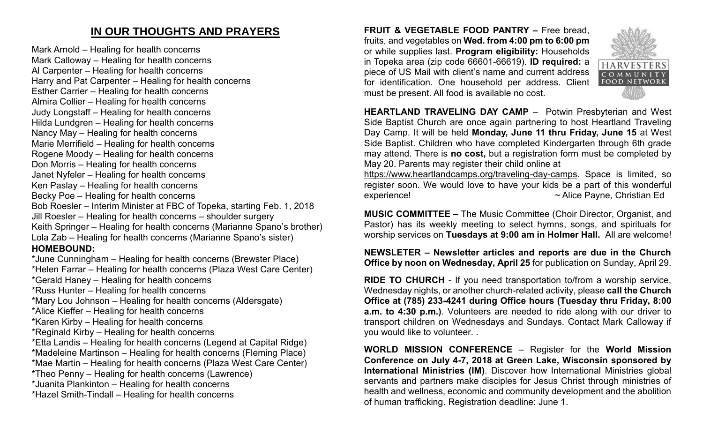# **IN OUR THOUGHTS AND PRAYERS**

Mark Arnold – Healing for health concerns Mark Calloway – Healing for health concerns Al Carpenter – Healing for health concerns Harry and Pat Carpenter – Healing for health concerns Esther Carrier – Healing for health concerns Almira Collier – Healing for health concerns Judy Longstaff – Healing for health concerns Hilda Lundgren – Healing for health concerns Nancy May – Healing for health concerns Marie Merrifield – Healing for health concerns Rogene Moody – Healing for health concerns Don Morris – Healing for health concerns Janet Nyfeler – Healing for health concerns Ken Paslay – Healing for health concerns Becky Poe – Healing for health concerns Bob Roesler – Interim Minister at FBC of Topeka, starting Feb. 1, 2018 Jill Roesler – Healing for health concerns – shoulder surgery Keith Springer – Healing for health concerns (Marianne Spano's brother) Lola Zab – Healing for health concerns (Marianne Spano's sister) **HOMEBOUND:** \*June Cunningham – Healing for health concerns (Brewster Place) \*Helen Farrar – Healing for health concerns (Plaza West Care Center)

\*Gerald Haney – Healing for health concerns

\*Russ Hunter – Healing for health concerns

\*Mary Lou Johnson – Healing for health concerns (Aldersgate)

\*Alice Kieffer – Healing for health concerns

\*Karen Kirby – Healing for health concerns

\*Reginald Kirby – Healing for health concerns

\*Etta Landis – Healing for health concerns (Legend at Capital Ridge)

\*Madeleine Martinson – Healing for health concerns (Fleming Place)

\*Mae Martin – Healing for health concerns (Plaza West Care Center)

\*Theo Penny – Healing for health concerns (Lawrence)

\*Juanita Plankinton – Healing for health concerns

\*Hazel Smith-Tindall – Healing for health concerns

**FRUIT & VEGETABLE FOOD PANTRY –** Free bread, fruits, and vegetables on **Wed. from 4:00 pm to 6:00 pm**  or while supplies last. **Program eligibility:** Households in Topeka area (zip code 66601-66619). **ID required:** a piece of US Mail with client's name and current address for identification. One household per address. Client must be present. All food is available no cost.



**HEARTLAND TRAVELING DAY CAMP** –Potwin Presbyterian and West Side Baptist Church are once again partnering to host Heartland Traveling Day Camp. It will be held **Monday, June 11 thru Friday, June 15** at West Side Baptist. Children who have completed Kindergarten through 6th grade may attend. There is **no cost,** but a registration form must be completed by May 20. Parents may register their child online at

[https://www.heartlandcamps.org/traveling-day-camps.](https://www.heartlandcamps.org/traveling-day-camps) Space is limited, so register soon. We would love to have your kids be a part of this wonderful experience! ~ Alice Payne, Christian Ed

**MUSIC COMMITTEE –** The Music Committee (Choir Director, Organist, and Pastor) has its weekly meeting to select hymns, songs, and spirituals for worship services on **Tuesdays at 9:00 am in Holmer Hall.** All are welcome!

**NEWSLETER – Newsletter articles and reports are due in the Church Office by noon on Wednesday, April 25** for publication on Sunday, April 29.

**RIDE TO CHURCH** - If you need transportation to/from a worship service, Wednesday nights, or another church-related activity, please **call the Church Office at (785) 233-4241 during Office hours (Tuesday thru Friday, 8:00 a.m. to 4:30 p.m.)**. Volunteers are needed to ride along with our driver to transport children on Wednesdays and Sundays. Contact Mark Calloway if you would like to volunteer. .

**WORLD MISSION CONFERENCE** – Register for the **World Mission Conference on July 4-7, 2018 at Green Lake, Wisconsin sponsored by International Ministries (IM)**. Discover how International Ministries global servants and partners make disciples for Jesus Christ through ministries of health and wellness, economic and community development and the abolition of human trafficking. Registration deadline: June 1.